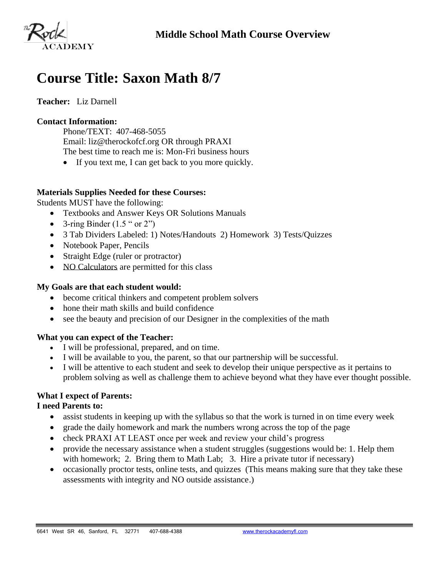

# **Course Title: Saxon Math 8/7**

## **Teacher:** Liz Darnell

#### **Contact Information:**

Phone/TEXT: 407-468-5055 Email: liz@therockofcf.org OR through PRAXI The best time to reach me is: Mon-Fri business hours

• If you text me, I can get back to you more quickly.

#### **Materials Supplies Needed for these Courses:**

Students MUST have the following:

- Textbooks and Answer Keys OR Solutions Manuals
- 3-ring Binder  $(1.5 " or 2")$
- 3 Tab Dividers Labeled: 1) Notes/Handouts 2) Homework 3) Tests/Quizzes
- Notebook Paper, Pencils
- Straight Edge (ruler or protractor)
- NO Calculators are permitted for this class

#### **My Goals are that each student would:**

- become critical thinkers and competent problem solvers
- hone their math skills and build confidence
- see the beauty and precision of our Designer in the complexities of the math

#### **What you can expect of the Teacher:**

- I will be professional, prepared, and on time.
- I will be available to you, the parent, so that our partnership will be successful.
- I will be attentive to each student and seek to develop their unique perspective as it pertains to problem solving as well as challenge them to achieve beyond what they have ever thought possible.

# **What I expect of Parents:**

#### **I need Parents to:**

- assist students in keeping up with the syllabus so that the work is turned in on time every week
- grade the daily homework and mark the numbers wrong across the top of the page
- check PRAXI AT LEAST once per week and review your child's progress
- provide the necessary assistance when a student struggles (suggestions would be: 1. Help them with homework; 2. Bring them to Math Lab; 3. Hire a private tutor if necessary)
- occasionally proctor tests, online tests, and quizzes (This means making sure that they take these assessments with integrity and NO outside assistance.)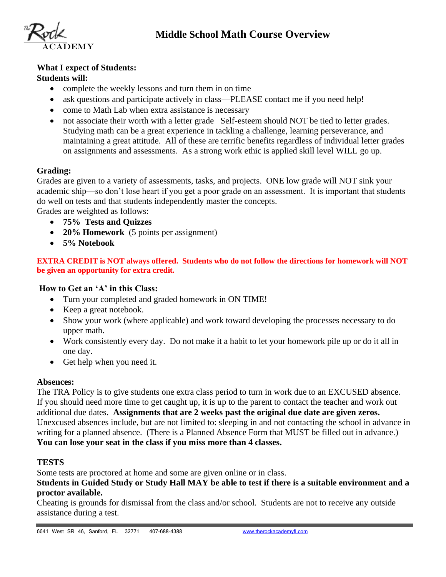



# **What I expect of Students:**

### **Students will:**

- complete the weekly lessons and turn them in on time
- ask questions and participate actively in class—PLEASE contact me if you need help!
- come to Math Lab when extra assistance is necessary
- not associate their worth with a letter grade Self-esteem should NOT be tied to letter grades. Studying math can be a great experience in tackling a challenge, learning perseverance, and maintaining a great attitude. All of these are terrific benefits regardless of individual letter grades on assignments and assessments. As a strong work ethic is applied skill level WILL go up.

## **Grading:**

Grades are given to a variety of assessments, tasks, and projects. ONE low grade will NOT sink your academic ship—so don't lose heart if you get a poor grade on an assessment. It is important that students do well on tests and that students independently master the concepts.

Grades are weighted as follows:

- **75% Tests and Quizzes**
- **20% Homework** (5 points per assignment)
- **5% Notebook**

**EXTRA CREDIT is NOT always offered. Students who do not follow the directions for homework will NOT be given an opportunity for extra credit.** 

#### **How to Get an 'A' in this Class:**

- Turn your completed and graded homework in ON TIME!
- Keep a great notebook.
- Show your work (where applicable) and work toward developing the processes necessary to do upper math.
- Work consistently every day. Do not make it a habit to let your homework pile up or do it all in one day.
- Get help when you need it.

#### **Absences:**

The TRA Policy is to give students one extra class period to turn in work due to an EXCUSED absence. If you should need more time to get caught up, it is up to the parent to contact the teacher and work out additional due dates. **Assignments that are 2 weeks past the original due date are given zeros.**  Unexcused absences include, but are not limited to: sleeping in and not contacting the school in advance in writing for a planned absence. (There is a Planned Absence Form that MUST be filled out in advance.) **You can lose your seat in the class if you miss more than 4 classes.**

# **TESTS**

Some tests are proctored at home and some are given online or in class.

**Students in Guided Study or Study Hall MAY be able to test if there is a suitable environment and a proctor available.**

Cheating is grounds for dismissal from the class and/or school. Students are not to receive any outside assistance during a test.